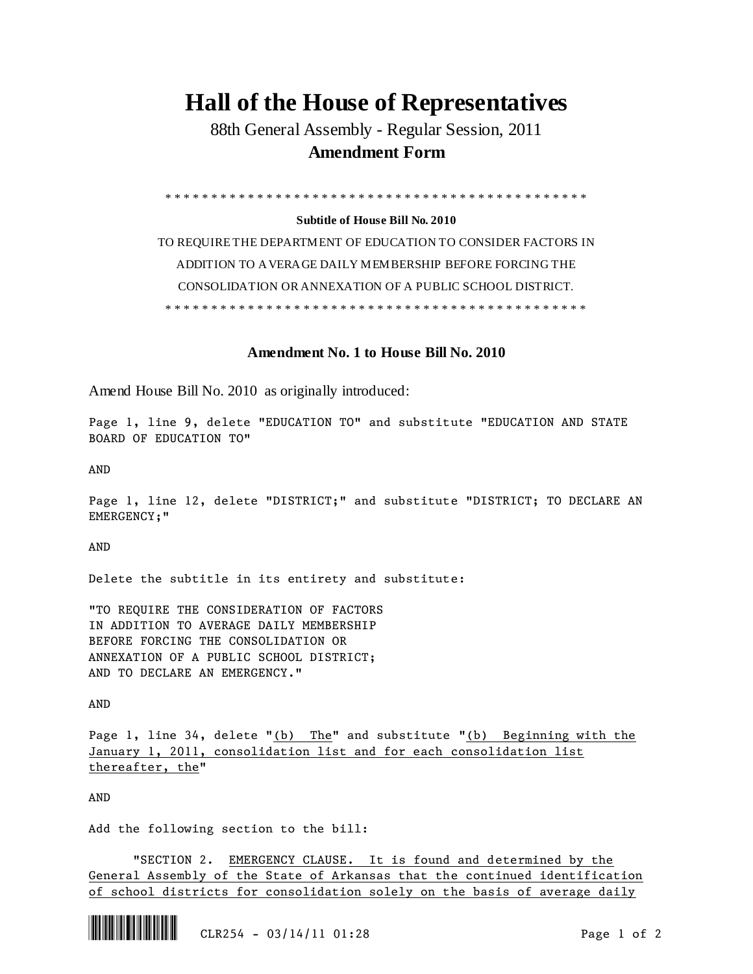## **Hall of the House of Representatives**

88th General Assembly - Regular Session, 2011 **Amendment Form**

\* \* \* \* \* \* \* \* \* \* \* \* \* \* \* \* \* \* \* \* \* \* \* \* \* \* \* \* \* \* \* \* \* \* \* \* \* \* \* \* \* \* \* \* \* \*

**Subtitle of House Bill No. 2010**

TO REQUIRE THE DEPARTMENT OF EDUCATION TO CONSIDER FACTORS IN ADDITION TO AVERAGE DAILY MEMBERSHIP BEFORE FORCING THE CONSOLIDATION OR ANNEXATION OF A PUBLIC SCHOOL DISTRICT. \* \* \* \* \* \* \* \* \* \* \* \* \* \* \* \* \* \* \* \* \* \* \* \* \* \* \* \* \* \* \* \* \* \* \* \* \* \* \* \* \* \* \* \* \* \*

## **Amendment No. 1 to House Bill No. 2010**

Amend House Bill No. 2010 as originally introduced:

Page 1, line 9, delete "EDUCATION TO" and substitute "EDUCATION AND STATE BOARD OF EDUCATION TO"

AND

Page 1, line 12, delete "DISTRICT;" and substitute "DISTRICT; TO DECLARE AN EMERGENCY;"

AND

Delete the subtitle in its entirety and substitute:

"TO REQUIRE THE CONSIDERATION OF FACTORS IN ADDITION TO AVERAGE DAILY MEMBERSHIP BEFORE FORCING THE CONSOLIDATION OR ANNEXATION OF A PUBLIC SCHOOL DISTRICT; AND TO DECLARE AN EMERGENCY."

AND

Page 1, line 34, delete "(b) The" and substitute "(b) Beginning with the January 1, 2011, consolidation list and for each consolidation list thereafter, the"

AND

Add the following section to the bill:

"SECTION 2. EMERGENCY CLAUSE. It is found and determined by the General Assembly of the State of Arkansas that the continued identification of school districts for consolidation solely on the basis of average daily